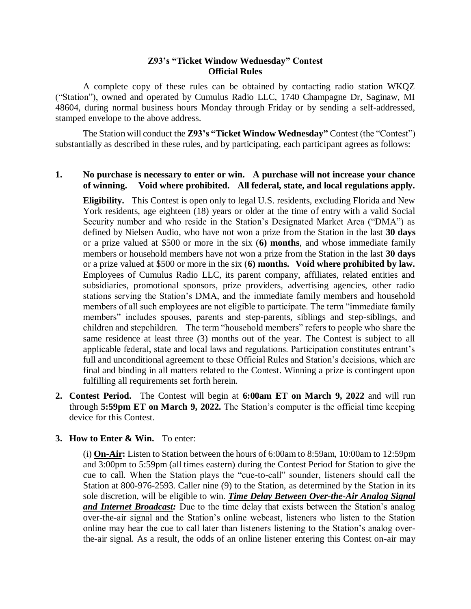## **Z93's "Ticket Window Wednesday" Contest Official Rules**

A complete copy of these rules can be obtained by contacting radio station WKQZ ("Station"), owned and operated by Cumulus Radio LLC, 1740 Champagne Dr, Saginaw, MI 48604, during normal business hours Monday through Friday or by sending a self-addressed, stamped envelope to the above address.

The Station will conduct the **Z93's "Ticket Window Wednesday"** Contest (the "Contest") substantially as described in these rules, and by participating, each participant agrees as follows:

## **1. No purchase is necessary to enter or win. A purchase will not increase your chance of winning. Void where prohibited. All federal, state, and local regulations apply.**

**Eligibility.** This Contest is open only to legal U.S. residents, excluding Florida and New York residents, age eighteen (18) years or older at the time of entry with a valid Social Security number and who reside in the Station's Designated Market Area ("DMA") as defined by Nielsen Audio, who have not won a prize from the Station in the last **30 days** or a prize valued at \$500 or more in the six (**6) months**, and whose immediate family members or household members have not won a prize from the Station in the last **30 days** or a prize valued at \$500 or more in the six (**6) months. Void where prohibited by law.** Employees of Cumulus Radio LLC, its parent company, affiliates, related entities and subsidiaries, promotional sponsors, prize providers, advertising agencies, other radio stations serving the Station's DMA, and the immediate family members and household members of all such employees are not eligible to participate. The term "immediate family members" includes spouses, parents and step-parents, siblings and step-siblings, and children and stepchildren. The term "household members" refers to people who share the same residence at least three (3) months out of the year. The Contest is subject to all applicable federal, state and local laws and regulations. Participation constitutes entrant's full and unconditional agreement to these Official Rules and Station's decisions, which are final and binding in all matters related to the Contest. Winning a prize is contingent upon fulfilling all requirements set forth herein.

**2. Contest Period.** The Contest will begin at **6:00am ET on March 9, 2022** and will run through **5:59pm ET on March 9, 2022.** The Station's computer is the official time keeping device for this Contest.

## **3. How to Enter & Win.** To enter:

(i) **On-Air:** Listen to Station between the hours of 6:00am to 8:59am, 10:00am to 12:59pm and 3:00pm to 5:59pm (all times eastern) during the Contest Period for Station to give the cue to call. When the Station plays the "cue-to-call" sounder, listeners should call the Station at 800-976-2593. Caller nine (9) to the Station, as determined by the Station in its sole discretion, will be eligible to win. *Time Delay Between Over-the-Air Analog Signal and Internet Broadcast:* Due to the time delay that exists between the Station's analog over-the-air signal and the Station's online webcast, listeners who listen to the Station online may hear the cue to call later than listeners listening to the Station's analog overthe-air signal. As a result, the odds of an online listener entering this Contest on-air may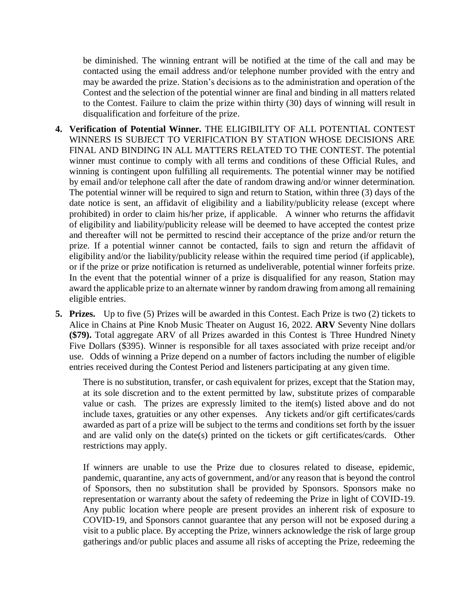be diminished. The winning entrant will be notified at the time of the call and may be contacted using the email address and/or telephone number provided with the entry and may be awarded the prize. Station's decisions as to the administration and operation of the Contest and the selection of the potential winner are final and binding in all matters related to the Contest. Failure to claim the prize within thirty (30) days of winning will result in disqualification and forfeiture of the prize.

- **4. Verification of Potential Winner.** THE ELIGIBILITY OF ALL POTENTIAL CONTEST WINNERS IS SUBJECT TO VERIFICATION BY STATION WHOSE DECISIONS ARE FINAL AND BINDING IN ALL MATTERS RELATED TO THE CONTEST. The potential winner must continue to comply with all terms and conditions of these Official Rules, and winning is contingent upon fulfilling all requirements. The potential winner may be notified by email and/or telephone call after the date of random drawing and/or winner determination. The potential winner will be required to sign and return to Station, within three (3) days of the date notice is sent, an affidavit of eligibility and a liability/publicity release (except where prohibited) in order to claim his/her prize, if applicable. A winner who returns the affidavit of eligibility and liability/publicity release will be deemed to have accepted the contest prize and thereafter will not be permitted to rescind their acceptance of the prize and/or return the prize. If a potential winner cannot be contacted, fails to sign and return the affidavit of eligibility and/or the liability/publicity release within the required time period (if applicable), or if the prize or prize notification is returned as undeliverable, potential winner forfeits prize. In the event that the potential winner of a prize is disqualified for any reason, Station may award the applicable prize to an alternate winner by random drawing from among all remaining eligible entries.
- **5. Prizes.** Up to five (5) Prizes will be awarded in this Contest. Each Prize is two (2) tickets to Alice in Chains at Pine Knob Music Theater on August 16, 2022. **ARV** Seventy Nine dollars **(\$79).** Total aggregate ARV of all Prizes awarded in this Contest is Three Hundred Ninety Five Dollars (\$395). Winner is responsible for all taxes associated with prize receipt and/or use. Odds of winning a Prize depend on a number of factors including the number of eligible entries received during the Contest Period and listeners participating at any given time.

There is no substitution, transfer, or cash equivalent for prizes, except that the Station may, at its sole discretion and to the extent permitted by law, substitute prizes of comparable value or cash. The prizes are expressly limited to the item(s) listed above and do not include taxes, gratuities or any other expenses. Any tickets and/or gift certificates/cards awarded as part of a prize will be subject to the terms and conditions set forth by the issuer and are valid only on the date(s) printed on the tickets or gift certificates/cards. Other restrictions may apply.

If winners are unable to use the Prize due to closures related to disease, epidemic, pandemic, quarantine, any acts of government, and/or any reason that is beyond the control of Sponsors, then no substitution shall be provided by Sponsors. Sponsors make no representation or warranty about the safety of redeeming the Prize in light of COVID-19. Any public location where people are present provides an inherent risk of exposure to COVID-19, and Sponsors cannot guarantee that any person will not be exposed during a visit to a public place. By accepting the Prize, winners acknowledge the risk of large group gatherings and/or public places and assume all risks of accepting the Prize, redeeming the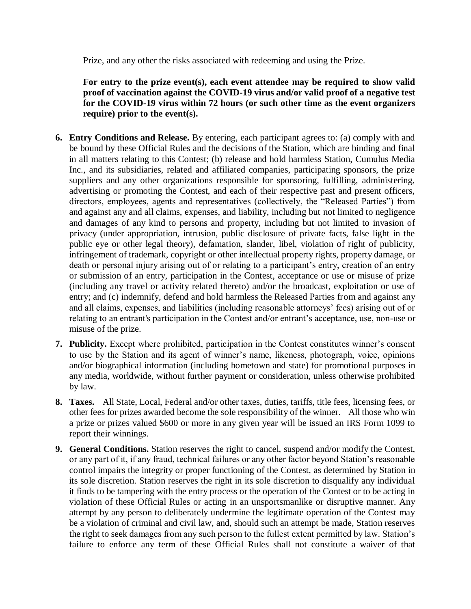Prize, and any other the risks associated with redeeming and using the Prize.

**For entry to the prize event(s), each event attendee may be required to show valid proof of vaccination against the COVID-19 virus and/or valid proof of a negative test for the COVID-19 virus within 72 hours (or such other time as the event organizers require) prior to the event(s).**

- **6. Entry Conditions and Release.** By entering, each participant agrees to: (a) comply with and be bound by these Official Rules and the decisions of the Station, which are binding and final in all matters relating to this Contest; (b) release and hold harmless Station, Cumulus Media Inc., and its subsidiaries, related and affiliated companies, participating sponsors, the prize suppliers and any other organizations responsible for sponsoring, fulfilling, administering, advertising or promoting the Contest, and each of their respective past and present officers, directors, employees, agents and representatives (collectively, the "Released Parties") from and against any and all claims, expenses, and liability, including but not limited to negligence and damages of any kind to persons and property, including but not limited to invasion of privacy (under appropriation, intrusion, public disclosure of private facts, false light in the public eye or other legal theory), defamation, slander, libel, violation of right of publicity, infringement of trademark, copyright or other intellectual property rights, property damage, or death or personal injury arising out of or relating to a participant's entry, creation of an entry or submission of an entry, participation in the Contest, acceptance or use or misuse of prize (including any travel or activity related thereto) and/or the broadcast, exploitation or use of entry; and (c) indemnify, defend and hold harmless the Released Parties from and against any and all claims, expenses, and liabilities (including reasonable attorneys' fees) arising out of or relating to an entrant's participation in the Contest and/or entrant's acceptance, use, non-use or misuse of the prize.
- **7. Publicity.** Except where prohibited, participation in the Contest constitutes winner's consent to use by the Station and its agent of winner's name, likeness, photograph, voice, opinions and/or biographical information (including hometown and state) for promotional purposes in any media, worldwide, without further payment or consideration, unless otherwise prohibited by law.
- **8. Taxes.** All State, Local, Federal and/or other taxes, duties, tariffs, title fees, licensing fees, or other fees for prizes awarded become the sole responsibility of the winner. All those who win a prize or prizes valued \$600 or more in any given year will be issued an IRS Form 1099 to report their winnings.
- **9. General Conditions.** Station reserves the right to cancel, suspend and/or modify the Contest, or any part of it, if any fraud, technical failures or any other factor beyond Station's reasonable control impairs the integrity or proper functioning of the Contest, as determined by Station in its sole discretion. Station reserves the right in its sole discretion to disqualify any individual it finds to be tampering with the entry process or the operation of the Contest or to be acting in violation of these Official Rules or acting in an unsportsmanlike or disruptive manner. Any attempt by any person to deliberately undermine the legitimate operation of the Contest may be a violation of criminal and civil law, and, should such an attempt be made, Station reserves the right to seek damages from any such person to the fullest extent permitted by law. Station's failure to enforce any term of these Official Rules shall not constitute a waiver of that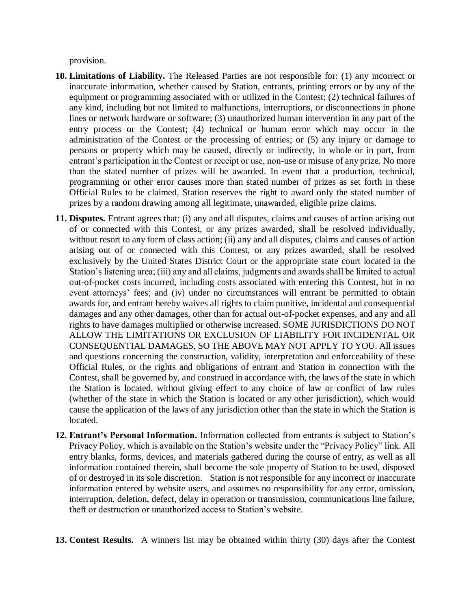provision.

- **10. Limitations of Liability.** The Released Parties are not responsible for: (1) any incorrect or inaccurate information, whether caused by Station, entrants, printing errors or by any of the equipment or programming associated with or utilized in the Contest; (2) technical failures of any kind, including but not limited to malfunctions, interruptions, or disconnections in phone lines or network hardware or software; (3) unauthorized human intervention in any part of the entry process or the Contest; (4) technical or human error which may occur in the administration of the Contest or the processing of entries; or (5) any injury or damage to persons or property which may be caused, directly or indirectly, in whole or in part, from entrant's participation in the Contest or receipt or use, non-use or misuse of any prize. No more than the stated number of prizes will be awarded. In event that a production, technical, programming or other error causes more than stated number of prizes as set forth in these Official Rules to be claimed, Station reserves the right to award only the stated number of prizes by a random drawing among all legitimate, unawarded, eligible prize claims.
- **11. Disputes.** Entrant agrees that: (i) any and all disputes, claims and causes of action arising out of or connected with this Contest, or any prizes awarded, shall be resolved individually, without resort to any form of class action; (ii) any and all disputes, claims and causes of action arising out of or connected with this Contest, or any prizes awarded, shall be resolved exclusively by the United States District Court or the appropriate state court located in the Station's listening area; (iii) any and all claims, judgments and awards shall be limited to actual out-of-pocket costs incurred, including costs associated with entering this Contest, but in no event attorneys' fees; and (iv) under no circumstances will entrant be permitted to obtain awards for, and entrant hereby waives all rights to claim punitive, incidental and consequential damages and any other damages, other than for actual out-of-pocket expenses, and any and all rights to have damages multiplied or otherwise increased. SOME JURISDICTIONS DO NOT ALLOW THE LIMITATIONS OR EXCLUSION OF LIABILITY FOR INCIDENTAL OR CONSEQUENTIAL DAMAGES, SO THE ABOVE MAY NOT APPLY TO YOU. All issues and questions concerning the construction, validity, interpretation and enforceability of these Official Rules, or the rights and obligations of entrant and Station in connection with the Contest, shall be governed by, and construed in accordance with, the laws of the state in which the Station is located, without giving effect to any choice of law or conflict of law rules (whether of the state in which the Station is located or any other jurisdiction), which would cause the application of the laws of any jurisdiction other than the state in which the Station is located.
- **12. Entrant's Personal Information.** Information collected from entrants is subject to Station's Privacy Policy, which is available on the Station's website under the "Privacy Policy" link. All entry blanks, forms, devices, and materials gathered during the course of entry, as well as all information contained therein, shall become the sole property of Station to be used, disposed of or destroyed in its sole discretion. Station is not responsible for any incorrect or inaccurate information entered by website users, and assumes no responsibility for any error, omission, interruption, deletion, defect, delay in operation or transmission, communications line failure, theft or destruction or unauthorized access to Station's website.
- **13. Contest Results.** A winners list may be obtained within thirty (30) days after the Contest